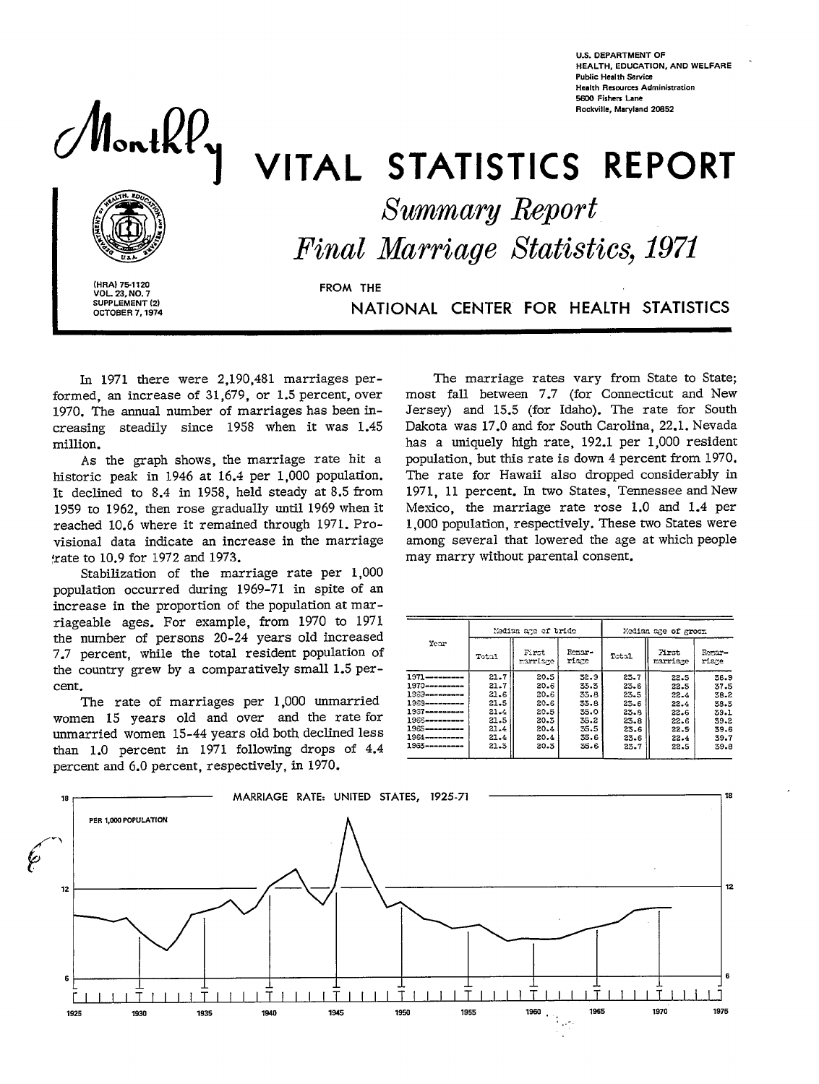

**U.S. DEPARTMENT OF HEALTH, EOUCATION, AND WELFARE Public Health Service Health Resources Administration ~ Fishers Lane Rocldle, Maryland 2C@52** 

# VITAL STATISTICS REPORT

*&wmmaryReport* 

*Marriage Statistics, 1971* 

**I (HRAI 751120** FROM THE **VOL. 2S, NO. 7 I SUPPLEMENT (2)<br>
OCTOBER 7, 1974** 

SUPPLEMENT (2)<br>CCTOBER 7, 1974

In 1971 there were 2,190,481 marriages performed, an increase of 31,679, or 1.5 percent, over 1970. The annual number of marriages has been increasing steadily since 1958 when it was 1.45 million.

As the graph shows, the marriage rate hit a historic peak in 1946 at 16.4 per 1,000 population. It declined to 8.4 in 1958, held steady at 8.5 from 1959 to 1962, then rose gradually until 1969 when it reached 10.6 where it remained through 1971. Provisional data indicate an increase in the marriage rate to 10.9 for 1972 and 1973.

Stabilization of the marriage rate per 1,000 population occurred during 1969-71 in spite of an increase in the proportion of the population at marriageable ages. For example, from 1970 to 1971 the number of persons 20-24 years old increased 7.7 percent, while the total resident population of the country grew by a comparatively small 1.5 percent.

The rate of marriages per 1,000 unmarried women 15 years old and over and the rate for unmarried women 15-44 years old both declined less than 1.0 percent in 1971 following drops of 4.4 percent and 6.0 percent, respectively, in 1970.

The marriage rates vary from State to State; most fall between 7.7 (for Connecticut and New Jersey) and 15.5 (for Idaho). The rate for South Dakota was 17.0 and for South Carolina, 22.1. Nevada has a uniquely high rate, 192.1 per 1,000 resident population, but this rate is down 4 percent from 1970. The rate for Hawaii also dropped considerably in 1971, 11 percent. In two States, Tennessee and New Mexico, the marriage rate rose 1.0 and 1.4 per 1,000 population, respectively. These two States were among several that lowered the age at which people may marry without parental consent.

| Year             |          | Median age of bride |                 | Median age of groom |                   |                 |  |  |
|------------------|----------|---------------------|-----------------|---------------------|-------------------|-----------------|--|--|
|                  | Total    | First<br>marriage   | Remar-<br>riage | Total               | First<br>marriage | Remar-<br>riare |  |  |
| $1971$ --------- | 21.7     | 20.5                | 32.9            | 23.7                | 22.5              | 36.9            |  |  |
|                  | 21.7     | 20.6                | 33.3            | 23.6                | 22.5              | 37.5            |  |  |
| 1389---------    | 21.6     | 20.6                | 33.8            | 23.5                | 22.4              | 38.2            |  |  |
| 1968---------    | 21.5     | 20.6                | 33.8            | 23.6                | 22.4              | 38.3            |  |  |
| 1967----------   | 21.4     | 20.5                | 35.0            | 23.8                | 22.6              | 39.1            |  |  |
| 1966----------   | 21.5     | 20.3                | 35.2            | 23.8                | 22.6              | 39.2            |  |  |
| $1965$ --------- | $21 - 4$ | 20.4                | 35.5            | 23.6                | 22.5              | 39.6            |  |  |
| 1964----------   | 21.4     | 20.4                | 35.6            | 23.6                | 22.4              | 39.7            |  |  |
| 1963----------   | 21.5     | 20.3                | 35.6            | 23.7                | 22.5              | 39.8            |  |  |

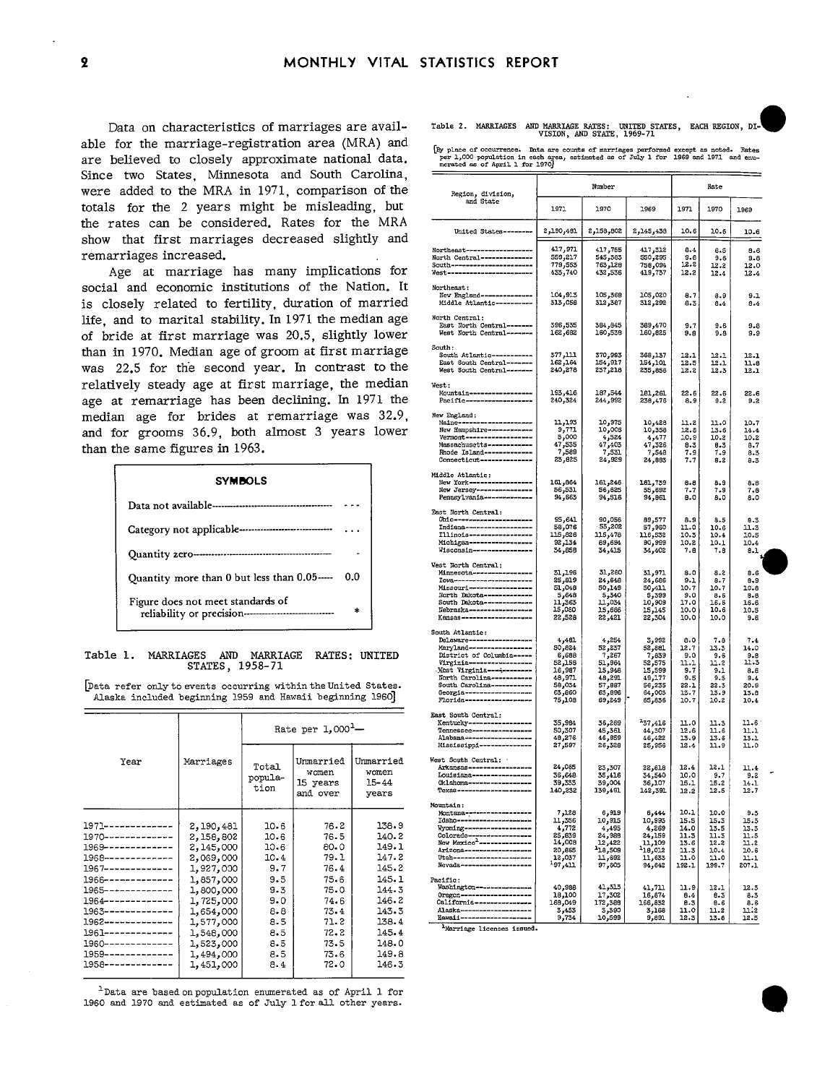Data on characteristics of marriages are available for the marriage-registration area (MRA) and apple fol the mailiage-legistration at ea (Witth) and [By place of occurrence. Data are counts of marriages performed except as noted. Rates are composition in each except as noted. Rates are composition in each except as Since two States, Minnesota and South Carolina, were added to the MRA in 1971, comparison of the totals for the 2 years might be misleading, but the rates can be considered. Rates for the MRA  $\frac{1}{2,100,401}$   $\frac{1}{2,100,401}$   $\frac{2,100,401}{2,156,602}$   $\frac{2,145,436}{2,166}$   $\frac{10.6}{10.6}$ show that first marriages decreased slightly and<br>remarriages increased.<br>Age at marriage has many implications for



## Table 1. MARRIAGES AND MARRIAGE RATES: UNITED<br>STATES, 1958-71

|                                |           |                          | Rate per $1,000^1$ -                       |                                          | East South Central:<br>Kentucky------------------<br>Tennessee-----------------<br>Alabama-------------------<br>Mississippi --------------  | 35,984<br>50,307<br>48,276<br>27.597  |
|--------------------------------|-----------|--------------------------|--------------------------------------------|------------------------------------------|----------------------------------------------------------------------------------------------------------------------------------------------|---------------------------------------|
| Year                           | Marriages | Total<br>popula-<br>tion | Unmarried<br>women<br>15 years<br>and over | Ummarried<br>women<br>$15 - 44$<br>years | West South Central:<br>Arkansas------------------<br>Louisiana----------------<br>Oklahoma------------------<br>Texas ---------------------- | 24,065<br>36,648<br>39,333<br>140,232 |
|                                |           |                          |                                            |                                          | Mountain:<br>Montana-------------------<br>Idaho---------------------                                                                        | 7,128<br>11,356                       |
| 1971-------------              | 2,190,481 | 10.6                     | 76.2                                       | 138.9                                    | Wyoming--------------------                                                                                                                  | 4,772                                 |
| $1970$ -------------           | 2,158,802 | 10.6                     | 76.5                                       | 140.2                                    | Colorado ------------------<br>New Mexico <sup>2</sup> ---------------                                                                       | 25,839<br>14,008                      |
| $1969 - - - - - - - - - - - -$ | 2,145,000 | 10.6                     | 80.0                                       | 149.1                                    | Arizona--------------------                                                                                                                  | 20,865                                |
| $1968-----------------$        | 2,069,000 | 10.4                     | 79.1                                       | 147.2                                    | <b>Utah----------------------</b>                                                                                                            | 12,037                                |
| $1967$ -------------           | 1,927,000 | 9.7                      | 76.4                                       | 145.2                                    | Nevada----------------------                                                                                                                 | <sup>1</sup> 97,411                   |
| $1966 - - - - - - - - - - -$   | 1,857,000 | 9.5                      | 75.6                                       | 145.1                                    | Pacific:                                                                                                                                     |                                       |
| $1965 - - - - - - - - - - -$   | 1,800,000 | 9.3                      | 75.0                                       | 144.3                                    | Washington----------------                                                                                                                   | 40.988                                |
| $1964$ -------------           | 1,725,000 | 9.0                      | 74.6                                       | 146.2                                    | Oregon--------------------<br>California----------------                                                                                     | 18,100<br>168,049                     |
| $1963 - - - - - - - - - - - -$ | 1,654,000 | 8.8                      | 73.4                                       | 143.3                                    | Alaska---------------------                                                                                                                  | 3,455                                 |
| 1962-------------              | 1,577,000 | 8.5                      | 71.2                                       | 138.4                                    | Havaii --------------------                                                                                                                  | 9,734                                 |
| $1961 - - - - - - - - - - -$   | 1,548,000 | 8.5                      | 72.2                                       | 145.4                                    | Marriage licenses issued.                                                                                                                    |                                       |
| 1960-------------              | 1,523,000 | 8.5                      | 73.5                                       | 148.0                                    |                                                                                                                                              |                                       |
| $1959 - - - - - - - - - - -$   | 1,494,000 | 8.5                      | 73.6                                       | 149.8                                    |                                                                                                                                              |                                       |
| 1958--------------             | 1,451,000 | 8.4                      | 72.0                                       | 146.3                                    |                                                                                                                                              |                                       |
|                                |           |                          |                                            |                                          |                                                                                                                                              |                                       |

1Data are based on population enumerated as of April 1 for 1960 and 1970 and estimated as of July 1 for all other years.

MARRIAGE RATES: UNITED STATES, EACH REGION, DI-

| Since two States, Minnesota and South Carolina,                                                               |                                                 |                  |                                                          |                                                        |                                                                       |                    |                    |                    |               |                 |                 |
|---------------------------------------------------------------------------------------------------------------|-------------------------------------------------|------------------|----------------------------------------------------------|--------------------------------------------------------|-----------------------------------------------------------------------|--------------------|--------------------|--------------------|---------------|-----------------|-----------------|
| were added to the MRA in 1971, comparison of the                                                              |                                                 |                  |                                                          |                                                        |                                                                       |                    | Rate               |                    |               |                 |                 |
| totals for the 2 years might be misleading, but                                                               |                                                 |                  |                                                          |                                                        | Region, division,<br>and State                                        | 1971               | 1970               | 1969               | 1971          | 1970            | 1969            |
| the rates can be considered. Rates for the MRA<br>show that first marriages decreased slightly and            |                                                 |                  |                                                          |                                                        | United States--------                                                 | 481, 190, 2        | 802, 158, 2        | 2,145,438          | 10.6          | 10.6            | 10.6            |
| remarriages increased.                                                                                        |                                                 |                  |                                                          |                                                        | Northeast------------------                                           | 417,971            | 417,755            | 417,312            | 8.4           | 8.5             | 8.6             |
|                                                                                                               |                                                 |                  |                                                          |                                                        | North Central--------------<br>South-----------------------           | 559,217<br>779,553 | 545,383<br>763,128 | 550,295<br>758,094 | 9.8<br>12.2   | 9.6<br>12.2     | $9 - 8$<br>12.0 |
| Age at marriage has many implications for                                                                     |                                                 |                  |                                                          |                                                        | West------------------------                                          | 433,740            | 432,536            | 419,737            | 12.2          | 12.4            | 12.4            |
| social and economic institutions of the Nation. It<br>is closely related to fertility, duration of married    |                                                 |                  |                                                          |                                                        | Northeast:<br>New England---------------<br>Middle Atlantic---------- | 104,913<br>313,058 | 105,368<br>312,387 | 105,020<br>312,292 | 8,7<br>6.3    | 8.9<br>8.4      | 9.1<br>8.4      |
|                                                                                                               |                                                 |                  |                                                          |                                                        | North Central:                                                        |                    |                    |                    |               |                 |                 |
| life, and to marital stability. In 1971 the median age<br>of bride at first marriage was 20.5, slightly lower |                                                 |                  |                                                          |                                                        | East North Central -------<br>West North Central-------               | 396,535<br>162,682 | 384,845<br>160,538 | 389,470<br>160,825 | 9.7<br>9.8    | 9.6<br>9.8      | 9.8<br>9.9      |
| than in 1970. Median age of groom at first marriage                                                           |                                                 |                  |                                                          |                                                        | South:<br>South Atlantic-----------                                   | 377,111            | 370,993            | 368,137            | 12.1          | 12.1            | 12.1            |
| was 22.5 for the second year. In contrast to the                                                              |                                                 |                  |                                                          |                                                        | East South Central--------                                            | 162,164            | 154,917            | 154,101            | 12.5          | 12.1            | 11.8            |
|                                                                                                               |                                                 |                  |                                                          |                                                        | West South Central-------                                             | 240,278            | 237,218            | 235,856            | 12.2          | 12.3            | 12.1            |
| relatively steady age at first marriage, the median                                                           |                                                 |                  |                                                          |                                                        | West:<br>Mountain-----------------                                    | 193,416            | 187,544            | 181,261            | 22.6          | 22.6            | 22.6            |
| age at remarriage has been declining. In 1971 the                                                             |                                                 |                  |                                                          |                                                        | Pacific-------------------                                            | 240,324            | 244,992            | 238,476            | 8.9           | $9 - 2$         | $9 - 2$         |
| median age for brides at remarriage was 32.9,                                                                 |                                                 |                  |                                                          |                                                        | New England:<br>Maine--------------------                             | 11,193             | 10,975             | 10,428             |               |                 |                 |
| and for grooms 36.9, both almost 3 years lower                                                                |                                                 |                  |                                                          |                                                        | New Hampshire-----------                                              | 9,771              | 10,006             | 10,358             | 11.2<br>12.8  | 11.0<br>13.6    | 10.7<br>14.4    |
|                                                                                                               |                                                 |                  |                                                          |                                                        | Vermont-------------------<br>Massachusetts ------------              | 5,000<br>47,535    | 4,524<br>47,403    | 4,477<br>47,326    | 10.9<br>8.3   | 10.2<br>8.3     | 10.2<br>8.7     |
| than the same figures in 1963.                                                                                |                                                 |                  |                                                          |                                                        | Rhode Island-------------<br>Connecticut--------------                | 7,589<br>23,825    | 7,531<br>24,929    | 7,548<br>24,883    | 7.9<br>7.7    | 7.9<br>8.2      | 8.3<br>8.3      |
|                                                                                                               |                                                 |                  |                                                          |                                                        | Middle Atlantic:                                                      |                    |                    |                    |               |                 |                 |
|                                                                                                               |                                                 |                  |                                                          |                                                        | New York------------------                                            | 161,864            | 161,246            | 161,739            | $8 - 8$       | 8.9             | 8.8             |
| <b>SYMBOLS</b>                                                                                                |                                                 |                  | New Jersey----------------<br>Pennsylvania-------------- | 56,531<br>563 ر 94                                     | 56,625<br>94,516                                                      | 55,692<br>94,861   | 7.7<br>8.0         | 7.9<br>8.0         | 7.6<br>8.0    |                 |                 |
|                                                                                                               |                                                 |                  |                                                          |                                                        | East North Central:                                                   |                    |                    |                    |               |                 |                 |
|                                                                                                               |                                                 |                  |                                                          |                                                        | Ohio-----------------------<br>Indiana-------------------             | 95,641<br>58,076   | 90,056<br>55,202   | 89,577<br>57,960   | 8.9<br>11.0   | 8.5<br>10.6     | 8.3<br>11.3     |
|                                                                                                               |                                                 |                  |                                                          |                                                        | T111n018                                                              | 115,826            | 115,478            | 116,532            | 10.3          | 10.4            | 10.5            |
|                                                                                                               |                                                 |                  |                                                          |                                                        | Michigan------------------<br>Wisconsin----------------               | 92,134<br>34,858   | 69,694<br>34,415   | 90,999<br>34,402   | 10.2<br>7.8   | 10.1<br>7.8     | 10.4<br>8.1     |
|                                                                                                               |                                                 |                  |                                                          |                                                        | West North Central:                                                   |                    |                    |                    |               |                 |                 |
|                                                                                                               | Quantity more than 0 but less than 0.05---- 0.0 |                  |                                                          |                                                        | Minnesota-----------------<br><b>Towa----------------------</b>       | 31,196<br>25,819   | 31,280<br>24,648   | 31,971<br>24,686   | 8.0<br>9.1    | 8.2<br>8.7      | 8.6<br>8.9      |
|                                                                                                               |                                                 |                  |                                                          | Missouri------------------                             | 51,048                                                                | 50,149             | 50,411             | 10.7               | 10.7          | 10.8            |                 |
|                                                                                                               | Figure does not meet standards of               |                  |                                                          | North Dakota-------------<br>South Dakota------------- | 5,648<br>11,363                                                       | 5,340<br>11,034    | 5,399<br>10,909    | 9.0<br>17.0        | 8.6<br>16.6   | $8 - 8$<br>16.6 |                 |
|                                                                                                               |                                                 |                  | ×                                                        |                                                        | Nebraska------------------<br>Kansas--------------------              | 15,080<br>22,528   | 15,666<br>22,421   | 15,145<br>22,304   | 10.0<br>10.0  | 10.6<br>10.0    | 10.5<br>$9 - 6$ |
|                                                                                                               |                                                 |                  |                                                          |                                                        | South Atlantic:                                                       |                    |                    |                    |               |                 |                 |
|                                                                                                               |                                                 |                  |                                                          |                                                        | Delaware-----------------<br>Maryland------------------               | 4,481<br>50,824    | 4,254<br>52,237    | 3,992<br>52,881    | 8.0<br>12.7   | 7.8<br>13.3     | 7.4<br>14.0     |
| Table 1.                                                                                                      | MARRIAGES AND MARRIAGE RATES: UNITED            |                  |                                                          |                                                        | District of Columbia -----                                            | 6,688              | 7,267              | 7,839              | 9.0           | 9.6             | 9.8             |
|                                                                                                               | STATES, 1958-71                                 |                  |                                                          |                                                        | Virginia------------------<br>Nest Virginia------------               | 52,158<br>16,987   | 51,964<br>15,948   | 52,575<br>15,599   | 11.1<br>9.7   | 11.2<br>9.1     | 11.3<br>8.6     |
| Data refer only to events occurring within the United States.                                                 |                                                 |                  |                                                          |                                                        | North Carolina -----------<br>South Carolina -----------              | 48,971<br>58,034   | 48,291<br>57,887   | 49,177<br>56,235   | 9.5<br>22.1   | 9.5<br>22.3     | 9.4<br>20.9     |
| Alaska included beginning 1959 and Hawaii beginning 1960]                                                     |                                                 |                  |                                                          |                                                        | Georgia------------------<br>$FlorIda$ --------------------           | 63,860<br>75,108   | 63,896             | 64,003<br>65,836   | 13.7          | 13.9            | 13.8            |
|                                                                                                               |                                                 |                  |                                                          |                                                        |                                                                       |                    | 69,249             |                    | 10.7          | 10.2            | 10.4            |
|                                                                                                               |                                                 |                  |                                                          |                                                        | East South Central:<br>Kentucky------------------                     | 35,984             | 36,269             | 137,416            | 11.0          | 11.3            | 11.6            |
|                                                                                                               |                                                 |                  | Rate per $1,000^{1}$ -                                   |                                                        | Tennessee-----------------<br>Alabama--------------------             | 50,307<br>48,276   | 45,361<br>46,959   | 44,307<br>46,422   | 12.6<br>13.9  | 11.6<br>13.6    | 11.1<br>13.1    |
|                                                                                                               |                                                 |                  |                                                          |                                                        | Mississippi --------------                                            | 27,597             | 26,328             | 25,956             | 12.4          | 11.9            | 11.0            |
| Year                                                                                                          | Marriages                                       |                  | Unmarried   Unmarried                                    |                                                        | West South Central:                                                   |                    |                    |                    |               |                 |                 |
|                                                                                                               |                                                 | Total<br>popula- | women                                                    | women                                                  | Arkansas------------------<br>Louisiana-----------------              | 24,065<br>36,648   | 23,307<br>35,416   | 22,618<br>34,540   | 12.4<br>10.0  | 12.1<br>$9 - 7$ | 11.4<br>9.2     |
|                                                                                                               |                                                 | tion             | 15 years                                                 | 15-44                                                  | Oklahoma------------------<br>Техаз--------------------               | 39,333<br>140,232  | 39,004<br>139,491  | 36,107<br>142,391  | 15.1<br>12.2  | 15.2<br>12.5    | 14.1<br>12.7    |
|                                                                                                               |                                                 |                  | and over                                                 | years                                                  |                                                                       |                    |                    |                    |               |                 |                 |
|                                                                                                               |                                                 |                  |                                                          |                                                        | Mountain:<br>Montange-seconomersesse                                  | 7.128              | 6.919              | 6.444              | 10.1          | 10.0            | 9.3             |
| 1971-------------                                                                                             | 2,190,481                                       | 10.6             | 76.2                                                     | 138.9                                                  | Idaho---------------------<br>Wyoming--------------------             | 11,356<br>4,772    | 10,915<br>4,495    | 10,993<br>4,269    | 15.5<br>14.0  | 15.3<br>13.5    | 15.3<br>13.3    |
| $1970$ --------------                                                                                         | 2,158,802                                       | 10.6             | 76.5                                                     | 140.2                                                  | Colorado------------------<br>New Mexico <sup>2</sup> --------------  | 25,839<br>14,008   | 24,988<br>12,422   | 24,159<br>11,109   | 11.3<br>13.6  | 11.3<br>12.2    | 11.5<br>11.2    |
| 1969-------------                                                                                             | 2,145,000                                       | 10.6             | 80.0                                                     | 149.1                                                  | Arizona-------------------                                            | 20,865             | 18,508             | 118,012            | 11.3          | 10.4            | 10.6            |
| 1968-------------<br>1967-------------                                                                        | 2,069,000<br>1,927,000                          | 10.4<br>9.7      | 79.1<br>76.4                                             | 147.2<br>145.2                                         | Utah-----------------------<br>Nevada---------------------            | 12,037<br>197,411  | 11,692<br>97,605   | 11,635<br>94,642   | 11.0<br>192.1 | 11.0<br>199.7   | 11.1<br>207.1   |
| 1966-------------                                                                                             | 1,857,000                                       | 9.5              | 75.6                                                     | 145.1                                                  | Pacific:                                                              |                    |                    |                    |               |                 |                 |
| 1965-------------                                                                                             | 1,800,000                                       | 9.3              | 75.0                                                     | 144.3                                                  | Washington---------------<br>Oregon-------------------                | 40,988             | 41,313             | 41,711             | 11.9          | 12.1            | 12.3            |
| 1964-------------                                                                                             | 1,725,000                                       | 9.0              | 74.6                                                     | 146.2                                                  | California---------------                                             | 18,100<br>168,049  | 17,302<br>172,388  | 16,874<br>166,832  | 8.4<br>8.3    | $8 - 3$<br>8-6  | 8.3<br>8.6      |
| 1963-------------                                                                                             | 1,654,000                                       | 8.8              | 73.4                                                     | 143.3                                                  | Alaska--------------------<br>Hawaii--------------------              | 3,453<br>9,734     | 3,390<br>10,599    | 3,168<br>9,891     | 11.0<br>12.3  | 11.2<br>13.8    | 11.2<br>12.5    |
| 1962-------------<br>$1961 - - - - - - - - - - - -$                                                           | 1,577,000<br>1.548.000                          | 8.5<br>8.5       | 71.2<br>72.2                                             | 138.4<br>145.4                                         | Marriage licenses issued.                                             |                    |                    |                    |               |                 |                 |
|                                                                                                               |                                                 |                  |                                                          |                                                        |                                                                       |                    |                    |                    |               |                 |                 |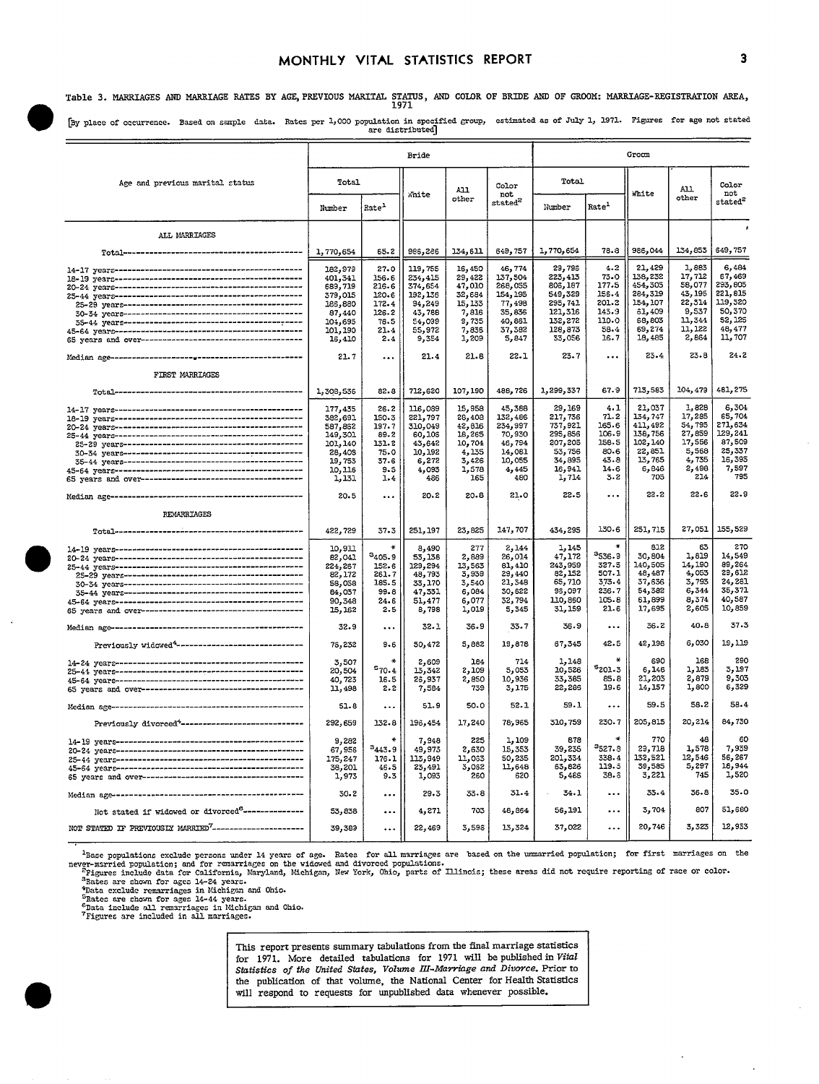## MONTHLY VITAL STATISTICS REPORT

Table 3. MARRIAGES AND MARRIAGE RATES BY AGE, PREVIOUS MARITAL STATUS, AND COLOR OF BRIDE AND OF GROOM: MARRIAGE-REGISTRATION AREA,

[By place of occurrence. Based on sample data. Rates per 1,000 population in specified group, estimated as of July 1, 1971. Figures for age not stated are distributed]

|                                                                                                                                                                                                                                                                                                                                                                                                                           | Bride                                                                                         |                                                                          |                                                                                            |                                                                                     |                                                                                           | Groom                                                                                         |                                                                              |                                                                                             |                                                                                      |                                                                                          |  |
|---------------------------------------------------------------------------------------------------------------------------------------------------------------------------------------------------------------------------------------------------------------------------------------------------------------------------------------------------------------------------------------------------------------------------|-----------------------------------------------------------------------------------------------|--------------------------------------------------------------------------|--------------------------------------------------------------------------------------------|-------------------------------------------------------------------------------------|-------------------------------------------------------------------------------------------|-----------------------------------------------------------------------------------------------|------------------------------------------------------------------------------|---------------------------------------------------------------------------------------------|--------------------------------------------------------------------------------------|------------------------------------------------------------------------------------------|--|
| Age and previous marital status                                                                                                                                                                                                                                                                                                                                                                                           | Total<br>Number                                                                               | Rate <sup>1</sup>                                                        | <i><b>Thite</b></i>                                                                        | A11<br>other                                                                        | Color<br>not<br>$\text{stated}^2$                                                         | Total<br>Nimber                                                                               | Rate-                                                                        | White                                                                                       | All<br>other                                                                         | Color<br>not<br>$stated^2$                                                               |  |
| ALL MARRIAGES                                                                                                                                                                                                                                                                                                                                                                                                             |                                                                                               |                                                                          |                                                                                            |                                                                                     |                                                                                           |                                                                                               |                                                                              |                                                                                             |                                                                                      |                                                                                          |  |
|                                                                                                                                                                                                                                                                                                                                                                                                                           | 1,770,654                                                                                     | 65.2                                                                     | 986,286                                                                                    | 134,611                                                                             | 649,757                                                                                   | 1,770,654                                                                                     | 78.8                                                                         | 986,044                                                                                     | 134,853                                                                              | 649,757                                                                                  |  |
| $\begin{minipage}{0.9\linewidth} 14-17 years {\color{red}{\textbf{--}}\hspace{-0.1cm}}\n 18-19 years {\color{red}{\textbf{--}}\hspace{-0.1cm}}\n 18-19 years {\color{red}{\textbf{--}}\hspace{-0.1cm}}\n 18-198 {\color{red}{\textbf{--}}\hspace{-0.1cm}}\n 18-198 {\color{red}{\textbf{--}}\hspace{-0.1cm}}\n 18-198 {\color{red}{\textbf{--}}\hspace{-0.1cm}}\n 18-198 {\color{red}{\textbf{--}}\hspace{-0.1cm}}\n 18-$ | 182,979<br>401,341<br>689,719<br>379,015<br>186,880<br>87,440<br>104,695<br>101,190<br>16,410 | 27.0<br>156.6<br>216.6<br>120.6<br>172.4<br>126.2<br>76.5<br>21.4<br>2.4 | 119,755<br>234,415<br>374,654<br>192, 136<br>94,249<br>43,788<br>54,099<br>55,972<br>9,354 | 16,450<br>29,422<br>47,010<br>32,684<br>15, 133<br>7,816<br>9,735<br>7,836<br>1,209 | 46,774<br>137,504<br>268,055<br>154, 195<br>77,498<br>35,836<br>40,861<br>37,382<br>5,847 | 29,798<br>223,413<br>806,187<br>549,329<br>295,741<br>121,316<br>132,272<br>128,873<br>33,056 | 4.2<br>$73 - 0$<br>177.5<br>156.4<br>201.2<br>143.9<br>110.0<br>58.4<br>16.7 | 21,429<br>138,232<br>454,305<br>284,319<br>154, 107<br>61,409<br>68,803<br>69,274<br>18,485 | 1,883<br>17,712<br>58,077<br>43, 195<br>22,314<br>9,537<br>11,344<br>11,122<br>2,864 | 6,484<br>67,469<br>293,805<br>221,815<br>119,320<br>50,370<br>52,125<br>48,477<br>11,707 |  |
|                                                                                                                                                                                                                                                                                                                                                                                                                           | 21.7                                                                                          | $\ddotsc$                                                                | 21.4                                                                                       | 21.8                                                                                | 22.1                                                                                      | 23.7                                                                                          | $\ddotsc$                                                                    | 23.4                                                                                        | 23.8                                                                                 | 24.2                                                                                     |  |
| FIRST MARRIAGES                                                                                                                                                                                                                                                                                                                                                                                                           | 1,308,536                                                                                     | 82.8                                                                     | 712,620                                                                                    | 107,190                                                                             | 488,726                                                                                   | 1,299,337                                                                                     | 67.9                                                                         | 713,583                                                                                     | 104,479                                                                              | 481,275                                                                                  |  |
|                                                                                                                                                                                                                                                                                                                                                                                                                           | 177,435<br>382,691<br>587,862<br>149,301<br>101, 140<br>28,408<br>19,753<br>10, 116<br>1,131  | 26.2<br>150.3<br>197.7<br>89.2<br>131.2<br>75.0<br>37.6<br>9.5<br>1.4    | 116,089<br>221,797<br>310,049<br>60,106<br>43,642<br>10,192<br>6,272<br>4,093<br>486       | 15,958<br>28,408<br>42,816<br>18,265<br>10,704<br>4,135<br>3,426<br>1,578<br>165    | 45,388<br>132,486<br>234,997<br>70,930<br>46,794<br>14,081<br>10,055<br>4,445<br>480      | 29,169<br>217,736<br>737,921<br>295,856<br>207,205<br>53,756<br>34,895<br>16,941<br>1,714     | 4.1<br>71.2<br>165.6<br>106-9<br>158.5<br>80-6<br>43.8<br>14.6<br>$3 - 2$    | 21,037<br>134,747<br>411,492<br>138,756<br>102, 140<br>22,851<br>13,765<br>6,846<br>705     | 1,828<br>17,285<br>54,795<br>27,859<br>17,556<br>5,568<br>1,735<br>2,498<br>214      | 6,304<br>65,704<br>271,634<br>129,241<br>87,509<br>25,337<br>16,395<br>7,597<br>795      |  |
|                                                                                                                                                                                                                                                                                                                                                                                                                           | 20.5                                                                                          |                                                                          | 20.2                                                                                       | $20 - 8$                                                                            | 21.0                                                                                      | 22.5                                                                                          |                                                                              | 22.2                                                                                        | 22.6                                                                                 | 22.9                                                                                     |  |
| REMARRIAGES                                                                                                                                                                                                                                                                                                                                                                                                               |                                                                                               |                                                                          |                                                                                            |                                                                                     |                                                                                           |                                                                                               |                                                                              |                                                                                             |                                                                                      |                                                                                          |  |
|                                                                                                                                                                                                                                                                                                                                                                                                                           | 422,729                                                                                       | 37.3                                                                     | 251,197                                                                                    | 23,825                                                                              | 147,707                                                                                   | 434,295                                                                                       | 130.6                                                                        | 251,715                                                                                     | 27,051                                                                               | 155,529                                                                                  |  |
|                                                                                                                                                                                                                                                                                                                                                                                                                           | 10.911<br>82,041<br>224,267<br>82,172<br>58,058<br>84,037<br>90,348<br>15, 162                | ¥<br>$a_{405.9}$<br>152.6<br>261.7<br>185.5<br>99.8<br>24.6<br>2.5       | 8,490<br>53,138<br>129,294<br>48,793<br>33,170<br>47,331<br>51,477<br>8,798                | 277<br>2,889<br>13,563<br>3,939<br>3,540<br>6,084<br>6,077<br>1,019                 | 2,144<br>26,014<br>81,410<br>29,440<br>21,348<br>30,622<br>32,794<br>5,345                | 1,145<br>47,172<br>243,959<br>82,152<br>65,710<br>98,097<br>110,850<br>31,159                 | 3536.9<br>327.5<br>507.1<br>373.4<br>236.7<br>105.8<br>21.6                  | 812<br>30,804<br>140,505<br>48, 487<br>37,636<br>54,382<br>61.899<br>17,695                 | 63<br>1,819<br>14,190<br>4,053<br>3,793<br>6,344<br>8,374<br>2,605                   | 270<br>14,549<br>89,264<br>29,612<br>24,281<br>35,371<br>40,587<br>10,859                |  |
|                                                                                                                                                                                                                                                                                                                                                                                                                           | 32.9                                                                                          |                                                                          | 32.1                                                                                       | 36.9                                                                                | 33.7                                                                                      | 36.9                                                                                          | $\ddotsc$                                                                    | 36.2                                                                                        | 40.8                                                                                 | 37.3                                                                                     |  |
| Previously widowed <sup>4</sup> ---------------------------------                                                                                                                                                                                                                                                                                                                                                         | 76,232                                                                                        | 9.6                                                                      | 50,472                                                                                     | 5,882                                                                               | 19,878                                                                                    | 67,345                                                                                        | 42.5                                                                         | 42.196                                                                                      | 6,030                                                                                | 19,119                                                                                   |  |
|                                                                                                                                                                                                                                                                                                                                                                                                                           | 3,507<br>20,504<br>40,723<br>11,498                                                           | $\star$<br>570.4<br>16.5<br>2.2                                          | 2,609<br>13,342<br>26,937<br>7,584                                                         | 184<br>2,109<br>2,850<br>739                                                        | 714<br>5,053<br>10,936<br>3,175                                                           | 1,148<br>10,526<br>33,385<br>22,285                                                           | ∗<br>5201.3<br>85.8<br>19.6                                                  | 690<br>6,146<br>21,203<br>14, 157                                                           | 168<br>1,183<br>2,879<br>1,800                                                       | 290<br>3,197<br>9,303<br>6,329                                                           |  |
|                                                                                                                                                                                                                                                                                                                                                                                                                           | 51.8                                                                                          |                                                                          | 51.9                                                                                       | 50.0                                                                                | 52.1                                                                                      | 59.1                                                                                          | $\ddotsc$                                                                    | 59.5                                                                                        | 58.2                                                                                 | 58.4                                                                                     |  |
| Previously divorced <sup>4</sup> -----------------------------                                                                                                                                                                                                                                                                                                                                                            | 292,659                                                                                       | 132.8                                                                    | 196,454                                                                                    | 17,240                                                                              | 78,965                                                                                    | 310,759                                                                                       | 230.7                                                                        | 205,815                                                                                     | 20,214                                                                               | 84,730                                                                                   |  |
|                                                                                                                                                                                                                                                                                                                                                                                                                           | 9,282<br>67,956<br>175,247<br>38,201<br>1,973                                                 | $\ast$<br>3443.9<br>176.1<br>46.5<br>9.3                                 | 7,948<br>49,973<br>113,949<br>23,491<br>1,093                                              | 225<br>2,630<br>11,033<br>3,062<br>260                                              | 1,109<br>15,353<br>50,235<br>11,648<br>620                                                | 878<br>39,235<br>201,334<br>63,826<br>5,466                                                   | <sup>3</sup> 527.3<br>338.4<br>119.5<br>38.5                                 | 770<br>29,718<br>132,521<br>39,585<br>3,221                                                 | 48<br>1,578<br>12,546<br>5,297<br>745                                                | 60<br>7,939<br>56,267<br>18,944<br>1,520                                                 |  |
|                                                                                                                                                                                                                                                                                                                                                                                                                           | 30.2                                                                                          |                                                                          | 29.3                                                                                       | 33.8                                                                                | 31.4                                                                                      | 34.1                                                                                          | $\cdots$                                                                     | 33.4                                                                                        | 36.8                                                                                 | 35.0                                                                                     |  |
| Not stated if widowed or divorced <sup>6</sup> ---------------                                                                                                                                                                                                                                                                                                                                                            | 53,838                                                                                        |                                                                          | 4,271                                                                                      | 703                                                                                 | 48,864                                                                                    | 56, 191                                                                                       | $\ddotsc$                                                                    | 3,704                                                                                       | 807                                                                                  | 51,680                                                                                   |  |
| NOT STATED IF PREVIOUSLY MARRIED <sup>7</sup> ----------------------                                                                                                                                                                                                                                                                                                                                                      | 39,389                                                                                        |                                                                          | 22,469                                                                                     | 3,598                                                                               | 13,324                                                                                    | 37,022                                                                                        |                                                                              | 20,746                                                                                      | 3,323                                                                                | 12,953                                                                                   |  |

The propositions exclude persons under 14 years of age. Rates for all marriages are based on the urmarried population; for first marriages on the never-married population; and for remarriages on the vidowed and divorced po

This report presents summary tabulations from the final marriage statistics for 1971. More detailed tabulations for 1971 will be published in Vital Statistics of the United States, Volume III-Marriage and Divorce. Prior to the publication of that volume, the National Center for Health Statistics will respond to requests for unpublished data whenever possible.